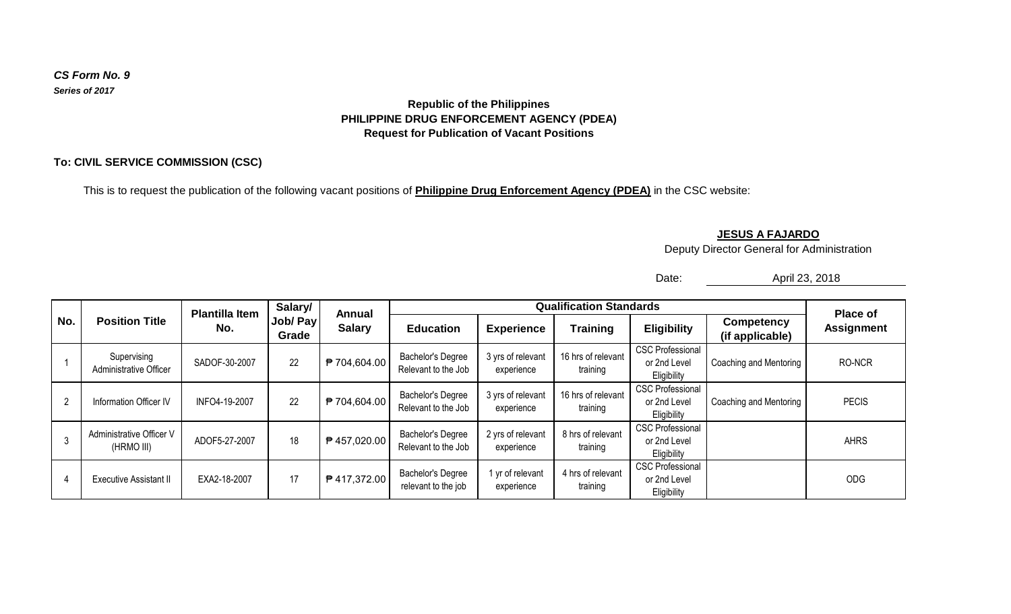#### *CS Form No. 9 Series of 2017*

## **Republic of the Philippines PHILIPPINE DRUG ENFORCEMENT AGENCY (PDEA) Request for Publication of Vacant Positions**

## **To: CIVIL SERVICE COMMISSION (CSC)**

This is to request the publication of the following vacant positions of **Philippine Drug Enforcement Agency (PDEA)** in the CSC website:

### **JESUS A FAJARDO**

Deputy Director General for Administration

Date:

April 23, 2018

| No. | <b>Position Title</b>                  | <b>Plantilla Item</b><br>No. | Salary/<br>Job/ Pay<br>Grade | Annual<br><b>Salary</b> | <b>Qualification Standards</b>                  |                                 |                                |                                                        |                                      | <b>Place of</b>   |
|-----|----------------------------------------|------------------------------|------------------------------|-------------------------|-------------------------------------------------|---------------------------------|--------------------------------|--------------------------------------------------------|--------------------------------------|-------------------|
|     |                                        |                              |                              |                         | <b>Education</b>                                | <b>Experience</b>               | <b>Training</b>                | <b>Eligibility</b>                                     | <b>Competency</b><br>(if applicable) | <b>Assignment</b> |
|     | Supervising<br>Administrative Officer  | SADOF-30-2007                | 22                           | ₱ 704,604.00            | <b>Bachelor's Degree</b><br>Relevant to the Job | 3 yrs of relevant<br>experience | 16 hrs of relevant<br>training | <b>CSC Professional</b><br>or 2nd Level<br>Eligibility | Coaching and Mentoring               | RO-NCR            |
| 2   | Information Officer IV                 | INFO4-19-2007                | 22                           | ₱ 704,604.00            | <b>Bachelor's Degree</b><br>Relevant to the Job | 3 yrs of relevant<br>experience | 16 hrs of relevant<br>training | <b>CSC Professional</b><br>or 2nd Level<br>Eligibility | Coaching and Mentoring               | <b>PECIS</b>      |
| 3   | Administrative Officer V<br>(HRMO III) | ADOF5-27-2007                | 18                           | ₱ 457,020.00            | <b>Bachelor's Degree</b><br>Relevant to the Job | 2 yrs of relevant<br>experience | 8 hrs of relevant<br>training  | <b>CSC Professional</b><br>or 2nd Level<br>Eligibility |                                      | <b>AHRS</b>       |
| 4   | <b>Executive Assistant II</b>          | EXA2-18-2007                 | 17                           | ₱ 417,372.00            | <b>Bachelor's Degree</b><br>relevant to the job | 1 yr of relevant<br>experience  | 4 hrs of relevant<br>training  | <b>CSC Professional</b><br>or 2nd Level<br>Eligibility |                                      | ODG               |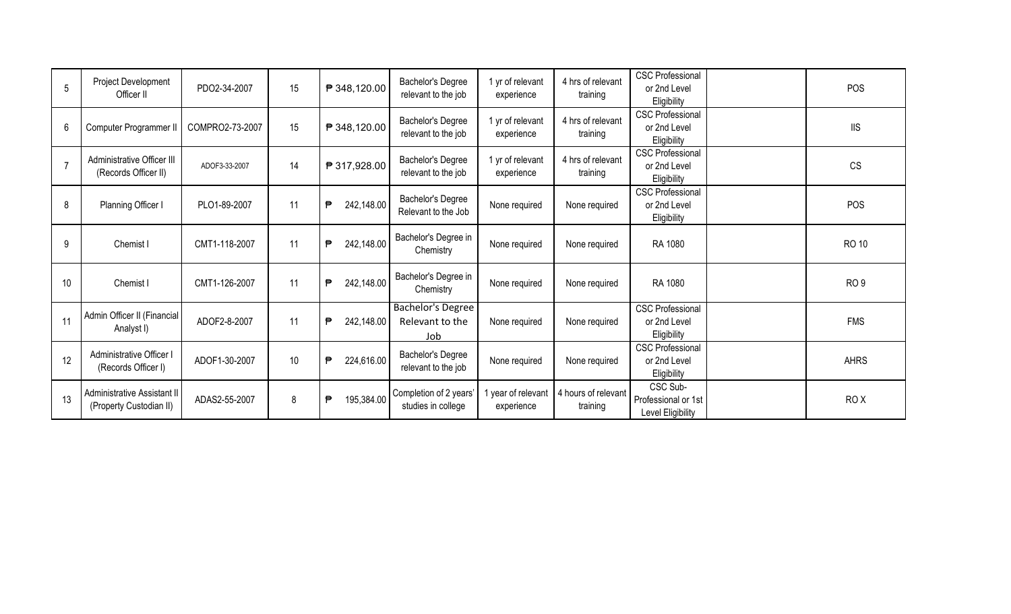| 5              | Project Development<br>Officer II                             | PDO2-34-2007    | 15              | ₱ 348,120.00    | <b>Bachelor's Degree</b><br>relevant to the job    | 1 yr of relevant<br>experience | 4 hrs of relevant<br>training   | <b>CSC Professional</b><br>or 2nd Level<br>Eligibility | <b>POS</b>      |
|----------------|---------------------------------------------------------------|-----------------|-----------------|-----------------|----------------------------------------------------|--------------------------------|---------------------------------|--------------------------------------------------------|-----------------|
| 6              | Computer Programmer II                                        | COMPRO2-73-2007 | 15              | ₱ 348,120.00    | Bachelor's Degree<br>relevant to the job           | 1 yr of relevant<br>experience | 4 hrs of relevant<br>training   | <b>CSC Professional</b><br>or 2nd Level<br>Eligibility | <b>IIS</b>      |
| $\overline{7}$ | Administrative Officer III<br>(Records Officer II)            | ADOF3-33-2007   | 14              | ₱ 317,928.00    | Bachelor's Degree<br>relevant to the job           | 1 yr of relevant<br>experience | 4 hrs of relevant<br>training   | <b>CSC Professional</b><br>or 2nd Level<br>Eligibility | <b>CS</b>       |
| 8              | Planning Officer I                                            | PLO1-89-2007    | 11              | ₱<br>242,148.00 | Bachelor's Degree<br>Relevant to the Job           | None required                  | None required                   | <b>CSC Professional</b><br>or 2nd Level<br>Eligibility | <b>POS</b>      |
| 9              | Chemist I                                                     | CMT1-118-2007   | 11              | ₱<br>242,148.00 | Bachelor's Degree in<br>Chemistry                  | None required                  | None required                   | RA 1080                                                | <b>RO 10</b>    |
| 10             | Chemist I                                                     | CMT1-126-2007   | 11              | ₱<br>242,148.00 | Bachelor's Degree in<br>Chemistry                  | None required                  | None required                   | RA 1080                                                | RO <sub>9</sub> |
| 11             | Admin Officer II (Financial<br>Analyst I)                     | ADOF2-8-2007    | 11              | 242,148.00<br>₱ | <b>Bachelor's Degree</b><br>Relevant to the<br>Job | None required                  | None required                   | <b>CSC Professional</b><br>or 2nd Level<br>Eligibility | <b>FMS</b>      |
| 12             | Administrative Officer I<br>(Records Officer I)               | ADOF1-30-2007   | 10 <sup>°</sup> | 224,616.00<br>₱ | <b>Bachelor's Degree</b><br>relevant to the job    | None required                  | None required                   | <b>CSC Professional</b><br>or 2nd Level<br>Eligibility | <b>AHRS</b>     |
| 13             | <b>Administrative Assistant II</b><br>(Property Custodian II) | ADAS2-55-2007   | 8               | ₱<br>195,384.00 | Completion of 2 years'<br>studies in college       | year of relevant<br>experience | 4 hours of relevant<br>training | CSC Sub-<br>Professional or 1st<br>Level Eligibility   | RO <sub>X</sub> |